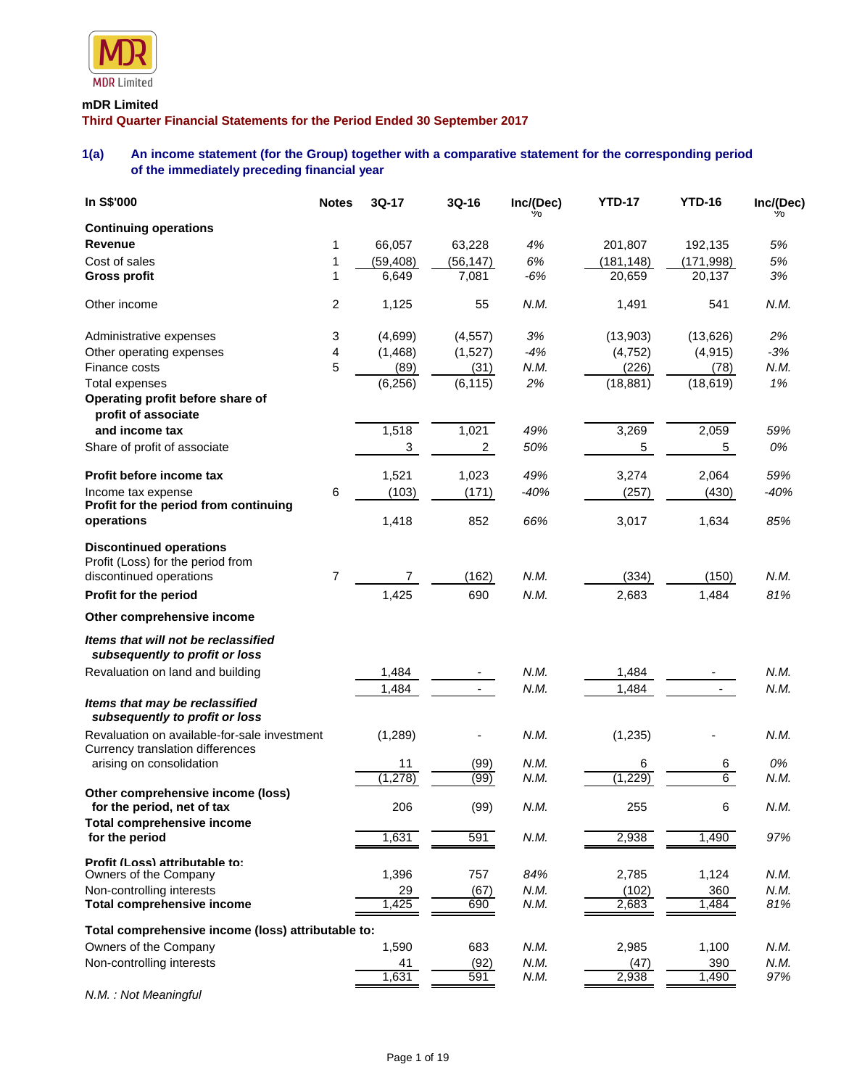

# **mDR Limited**

**Third Quarter Financial Statements for the Period Ended 30 September 2017**

# **1(a) An income statement (for the Group) together with a comparative statement for the corresponding period of the immediately preceding financial year**

| In S\$'000                                                                       | <b>Notes</b> | 3Q-17          | 3Q-16                    | Inc/(Dec) | <b>YTD-17</b> | <b>YTD-16</b> | Inc/(Dec) |
|----------------------------------------------------------------------------------|--------------|----------------|--------------------------|-----------|---------------|---------------|-----------|
| <b>Continuing operations</b>                                                     |              |                |                          |           |               |               |           |
| Revenue                                                                          | 1            | 66,057         | 63,228                   | 4%        | 201,807       | 192,135       | 5%        |
| Cost of sales                                                                    | 1            | (59, 408)      | (56, 147)                | 6%        | (181, 148)    | (171, 998)    | 5%        |
| <b>Gross profit</b>                                                              | 1            | 6,649          | 7,081                    | $-6%$     | 20,659        | 20,137        | 3%        |
| Other income                                                                     | 2            | 1,125          | 55                       | N.M.      | 1,491         | 541           | N.M.      |
| Administrative expenses                                                          | 3            | (4,699)        | (4, 557)                 | 3%        | (13,903)      | (13,626)      | 2%        |
| Other operating expenses                                                         | 4            | (1, 468)       | (1,527)                  | $-4%$     | (4, 752)      | (4, 915)      | $-3%$     |
| Finance costs                                                                    | 5            | (89)           | (31)                     | N.M.      | (226)         | (78)          | N.M.      |
| <b>Total expenses</b>                                                            |              | (6, 256)       | (6, 115)                 | 2%        | (18, 881)     | (18, 619)     | 1%        |
| Operating profit before share of<br>profit of associate                          |              |                |                          |           |               |               |           |
| and income tax                                                                   |              | 1,518          | 1,021                    | 49%       | 3,269         | 2,059         | 59%       |
| Share of profit of associate                                                     |              | 3              | $\overline{a}$           | 50%       | 5             | 5             | 0%        |
| Profit before income tax                                                         |              | 1,521          | 1,023                    | 49%       | 3,274         | 2,064         | 59%       |
| Income tax expense                                                               | 6            | (103)          | (171)                    | $-40%$    | (257)         | (430)         | $-40%$    |
| Profit for the period from continuing                                            |              |                |                          |           |               |               |           |
| operations                                                                       |              | 1,418          | 852                      | 66%       | 3,017         | 1,634         | 85%       |
| <b>Discontinued operations</b><br>Profit (Loss) for the period from              |              |                |                          |           |               |               |           |
| discontinued operations                                                          | 7            | $\overline{7}$ | (162)                    | N.M.      | (334)         | (150)         | N.M.      |
| Profit for the period                                                            |              | 1,425          | 690                      | N.M.      | 2,683         | 1,484         | 81%       |
| Other comprehensive income                                                       |              |                |                          |           |               |               |           |
|                                                                                  |              |                |                          |           |               |               |           |
| Items that will not be reclassified<br>subsequently to profit or loss            |              |                |                          |           |               |               |           |
| Revaluation on land and building                                                 |              | 1,484          |                          | N.M.      | 1,484         |               | N.M.      |
|                                                                                  |              | 1,484          | $\overline{\phantom{a}}$ | N.M.      | 1,484         |               | N.M.      |
| Items that may be reclassified<br>subsequently to profit or loss                 |              |                |                          |           |               |               |           |
| Revaluation on available-for-sale investment<br>Currency translation differences |              | (1, 289)       |                          | N.M.      | (1, 235)      |               | N.M.      |
| arising on consolidation                                                         |              | 11             | (99)                     | N.M.      | 6             | 6             | 0%        |
|                                                                                  |              | (1, 278)       | (99)                     | N.M.      | (1, 229)      | 6             | N.M.      |
| Other comprehensive income (loss)<br>for the period, net of tax                  |              | 206            | (99)                     | N.M.      | 255           | 6             | N.M.      |
| <b>Total comprehensive income</b>                                                |              |                |                          |           |               |               |           |
| for the period                                                                   |              | 1,631          | 591                      | N.M.      | 2,938         | 1,490         | 97%       |
| Profit (Loss) attributable to:<br>Owners of the Company                          |              | 1,396          | 757                      | 84%       | 2,785         | 1,124         | N.M.      |
| Non-controlling interests                                                        |              | 29             | (67)                     | N.M.      | (102)         | 360           | N.M.      |
| <b>Total comprehensive income</b>                                                |              | 1,425          | 690                      | N.M.      | 2,683         | 1,484         | 81%       |
| Total comprehensive income (loss) attributable to:                               |              |                |                          |           |               |               |           |
| Owners of the Company                                                            |              | 1,590          | 683                      | N.M.      | 2,985         | 1,100         | N.M.      |
| Non-controlling interests                                                        |              | 41             | (92)                     | N.M.      | (47)          | 390           | N.M.      |
|                                                                                  |              | 1,631          | 591                      | N.M.      | 2,938         | 1,490         | 97%       |
|                                                                                  |              |                |                          |           |               |               |           |

*N.M. : Not Meaningful*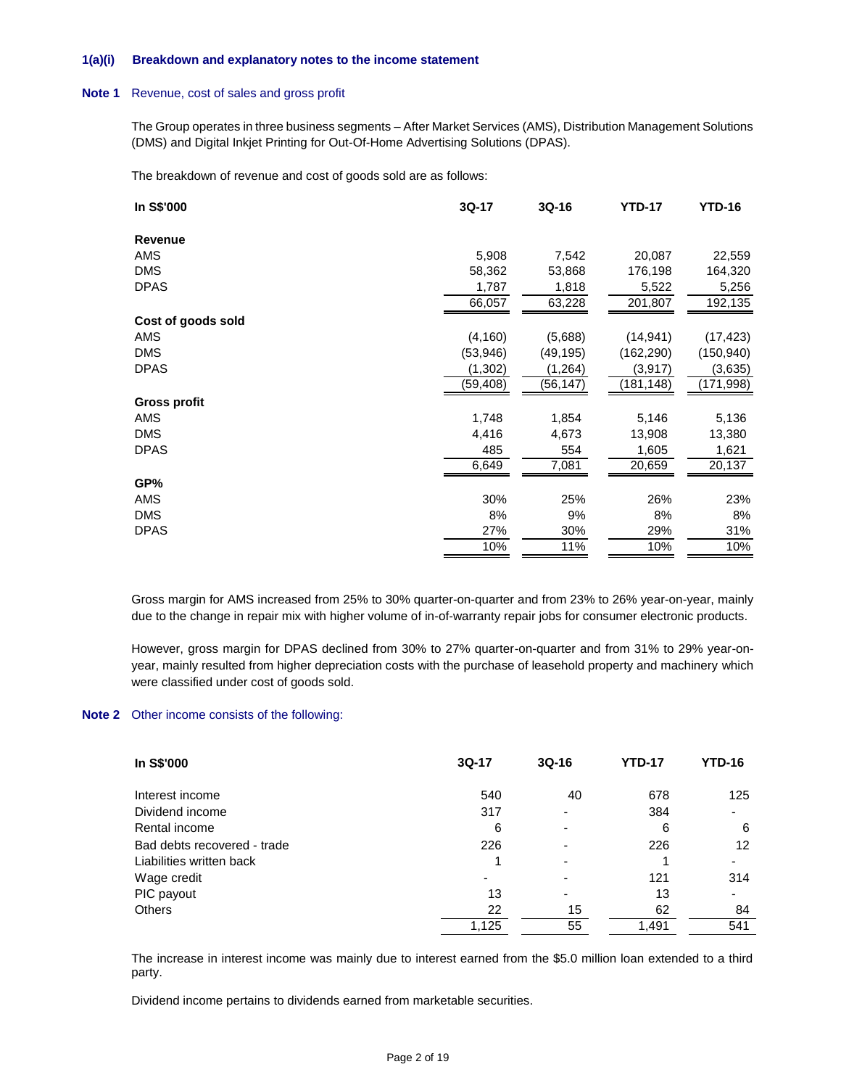### **1(a)(i) Breakdown and explanatory notes to the income statement**

### **Note 1** Revenue, cost of sales and gross profit

The Group operates in three business segments – After Market Services (AMS), Distribution Management Solutions (DMS) and Digital Inkjet Printing for Out-Of-Home Advertising Solutions (DPAS).

The breakdown of revenue and cost of goods sold are as follows:

| In S\$'000         | 3Q-17     | 3Q-16     | <b>YTD-17</b> | <b>YTD-16</b> |
|--------------------|-----------|-----------|---------------|---------------|
| Revenue            |           |           |               |               |
| AMS                | 5,908     | 7,542     | 20,087        | 22,559        |
| <b>DMS</b>         | 58,362    | 53,868    | 176,198       | 164,320       |
| <b>DPAS</b>        | 1,787     | 1,818     | 5,522         | 5,256         |
|                    | 66,057    | 63,228    | 201,807       | 192,135       |
| Cost of goods sold |           |           |               |               |
| AMS                | (4, 160)  | (5,688)   | (14, 941)     | (17, 423)     |
| <b>DMS</b>         | (53, 946) | (49, 195) | (162, 290)    | (150, 940)    |
| <b>DPAS</b>        | (1, 302)  | (1, 264)  | (3, 917)      | (3,635)       |
|                    | (59, 408) | (56, 147) | (181, 148)    | (171,998)     |
| Gross profit       |           |           |               |               |
| AMS                | 1,748     | 1,854     | 5,146         | 5,136         |
| <b>DMS</b>         | 4,416     | 4,673     | 13,908        | 13,380        |
| <b>DPAS</b>        | 485       | 554       | 1,605         | 1,621         |
|                    | 6,649     | 7,081     | 20,659        | 20,137        |
| GP%                |           |           |               |               |
| AMS                | 30%       | 25%       | 26%           | 23%           |
| <b>DMS</b>         | 8%        | 9%        | 8%            | 8%            |
| <b>DPAS</b>        | 27%       | 30%       | 29%           | 31%           |
|                    | 10%       | 11%       | 10%           | 10%           |
|                    |           |           |               |               |

Gross margin for AMS increased from 25% to 30% quarter-on-quarter and from 23% to 26% year-on-year, mainly due to the change in repair mix with higher volume of in-of-warranty repair jobs for consumer electronic products.

However, gross margin for DPAS declined from 30% to 27% quarter-on-quarter and from 31% to 29% year-onyear, mainly resulted from higher depreciation costs with the purchase of leasehold property and machinery which were classified under cost of goods sold.

### **Note 2** Other income consists of the following:

| In S\$'000                  | $3Q-17$ | $3Q-16$ | <b>YTD-17</b> | <b>YTD-16</b>            |
|-----------------------------|---------|---------|---------------|--------------------------|
| Interest income             | 540     | 40      | 678           | 125                      |
| Dividend income             | 317     |         | 384           | $\overline{\phantom{0}}$ |
| Rental income               | 6       |         | 6             | 6                        |
| Bad debts recovered - trade | 226     |         | 226           | 12                       |
| Liabilities written back    |         |         |               |                          |
| Wage credit                 |         |         | 121           | 314                      |
| PIC payout                  | 13      |         | 13            | $\overline{\phantom{0}}$ |
| <b>Others</b>               | 22      | 15      | 62            | 84                       |
|                             | 1.125   | 55      | 1.491         | 541                      |

The increase in interest income was mainly due to interest earned from the \$5.0 million loan extended to a third party.

Dividend income pertains to dividends earned from marketable securities.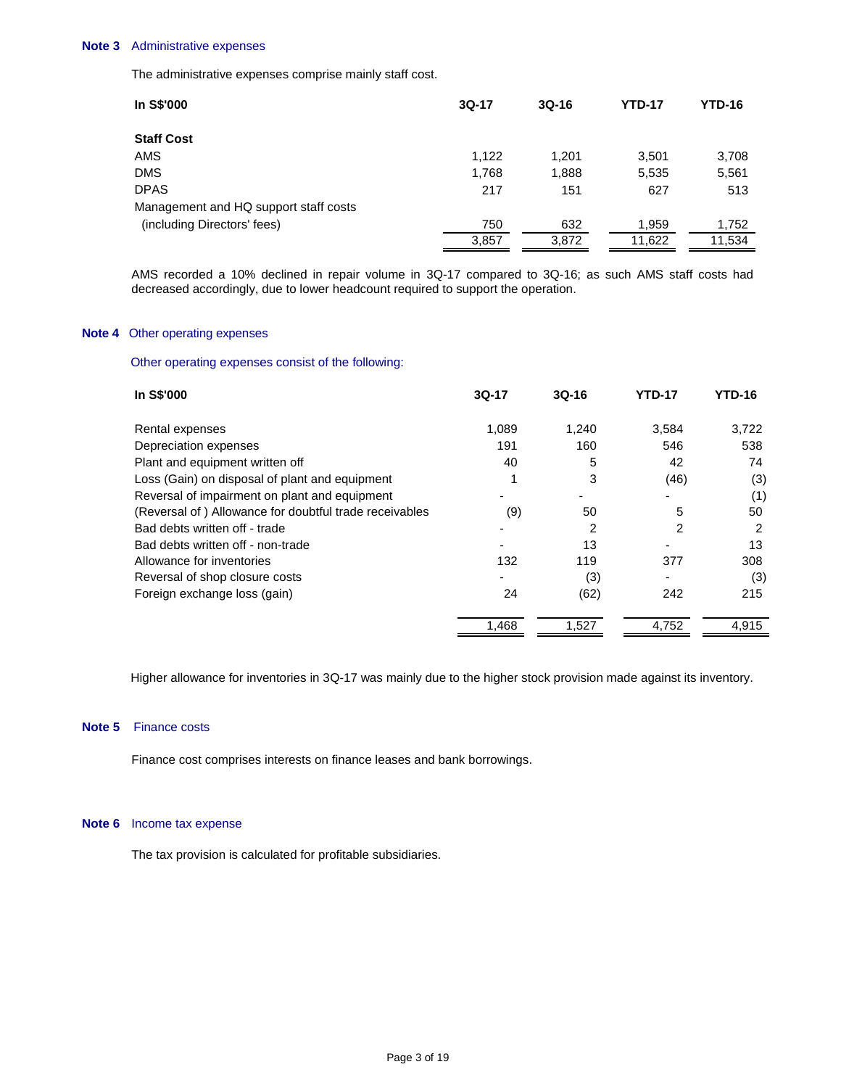### **Note 3** Administrative expenses

The administrative expenses comprise mainly staff cost.

| In S\$'000                            | $3Q-17$ | $3Q-16$ | <b>YTD-17</b> | <b>YTD-16</b> |
|---------------------------------------|---------|---------|---------------|---------------|
| <b>Staff Cost</b>                     |         |         |               |               |
| AMS                                   | 1.122   | 1,201   | 3,501         | 3,708         |
| <b>DMS</b>                            | 1,768   | 1,888   | 5,535         | 5,561         |
| <b>DPAS</b>                           | 217     | 151     | 627           | 513           |
| Management and HQ support staff costs |         |         |               |               |
| (including Directors' fees)           | 750     | 632     | 1,959         | 1,752         |
|                                       | 3,857   | 3,872   | 11,622        | 11,534        |

AMS recorded a 10% declined in repair volume in 3Q-17 compared to 3Q-16; as such AMS staff costs had decreased accordingly, due to lower headcount required to support the operation.

## **Note 4** Other operating expenses

# Other operating expenses consist of the following:

| In S\$'000                                             | 3Q-17 | $3Q-16$ | <b>YTD-17</b> | <b>YTD-16</b> |
|--------------------------------------------------------|-------|---------|---------------|---------------|
| Rental expenses                                        | 1,089 | 1,240   | 3,584         | 3,722         |
| Depreciation expenses                                  | 191   | 160     | 546           | 538           |
| Plant and equipment written off                        | 40    | 5       | 42            | 74            |
| Loss (Gain) on disposal of plant and equipment         |       | 3       | (46)          | (3)           |
| Reversal of impairment on plant and equipment          |       |         |               | (1)           |
| (Reversal of) Allowance for doubtful trade receivables | (9)   | 50      | 5             | 50            |
| Bad debts written off - trade                          |       | 2       | 2             | 2             |
| Bad debts written off - non-trade                      |       | 13      |               | 13            |
| Allowance for inventories                              | 132   | 119     | 377           | 308           |
| Reversal of shop closure costs                         |       | (3)     |               | (3)           |
| Foreign exchange loss (gain)                           | 24    | (62)    | 242           | 215           |
|                                                        | 1,468 | 1,527   | 4,752         | 4,915         |

Higher allowance for inventories in 3Q-17 was mainly due to the higher stock provision made against its inventory.

# **Note 5** Finance costs

Finance cost comprises interests on finance leases and bank borrowings.

### **Note 6** Income tax expense

The tax provision is calculated for profitable subsidiaries.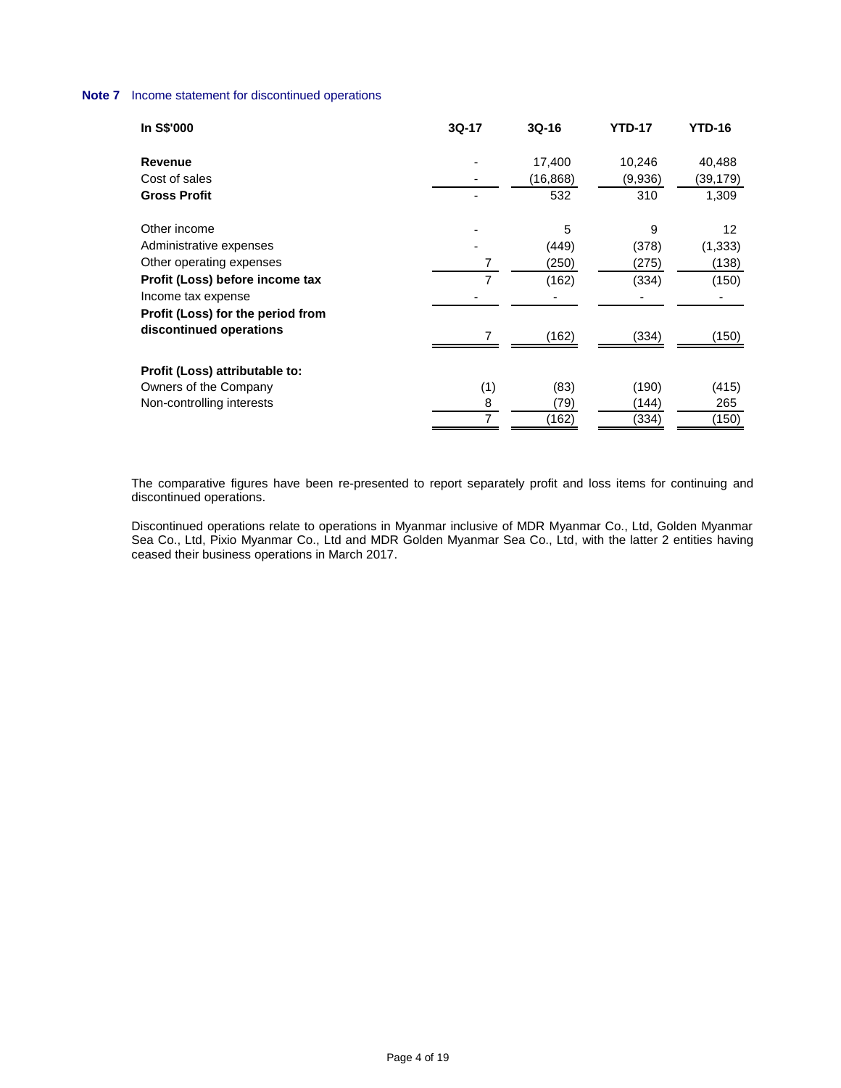# **Note 7** Income statement for discontinued operations

| In S\$'000                        | 3Q-17          | $3Q-16$   | <b>YTD-17</b> | <b>YTD-16</b> |
|-----------------------------------|----------------|-----------|---------------|---------------|
| Revenue                           |                | 17,400    | 10,246        | 40,488        |
| Cost of sales                     |                | (16, 868) | (9,936)       | (39, 179)     |
| <b>Gross Profit</b>               |                | 532       | 310           | 1,309         |
| Other income                      |                | 5         | 9             | 12            |
| Administrative expenses           |                | (449)     | (378)         | (1, 333)      |
| Other operating expenses          | 7              | (250)     | (275)         | (138)         |
| Profit (Loss) before income tax   | $\overline{7}$ | (162)     | (334)         | (150)         |
| Income tax expense                |                |           |               |               |
| Profit (Loss) for the period from |                |           |               |               |
| discontinued operations           | 7              | (162)     | (334)         | (150)         |
| Profit (Loss) attributable to:    |                |           |               |               |
| Owners of the Company             | (1)            | (83)      | (190)         | (415)         |
| Non-controlling interests         | 8              | (79)      | (144)         | 265           |
|                                   | 7              | (162)     | (334)         | (150)         |

The comparative figures have been re-presented to report separately profit and loss items for continuing and discontinued operations.

Discontinued operations relate to operations in Myanmar inclusive of MDR Myanmar Co., Ltd, Golden Myanmar Sea Co., Ltd, Pixio Myanmar Co., Ltd and MDR Golden Myanmar Sea Co., Ltd, with the latter 2 entities having ceased their business operations in March 2017.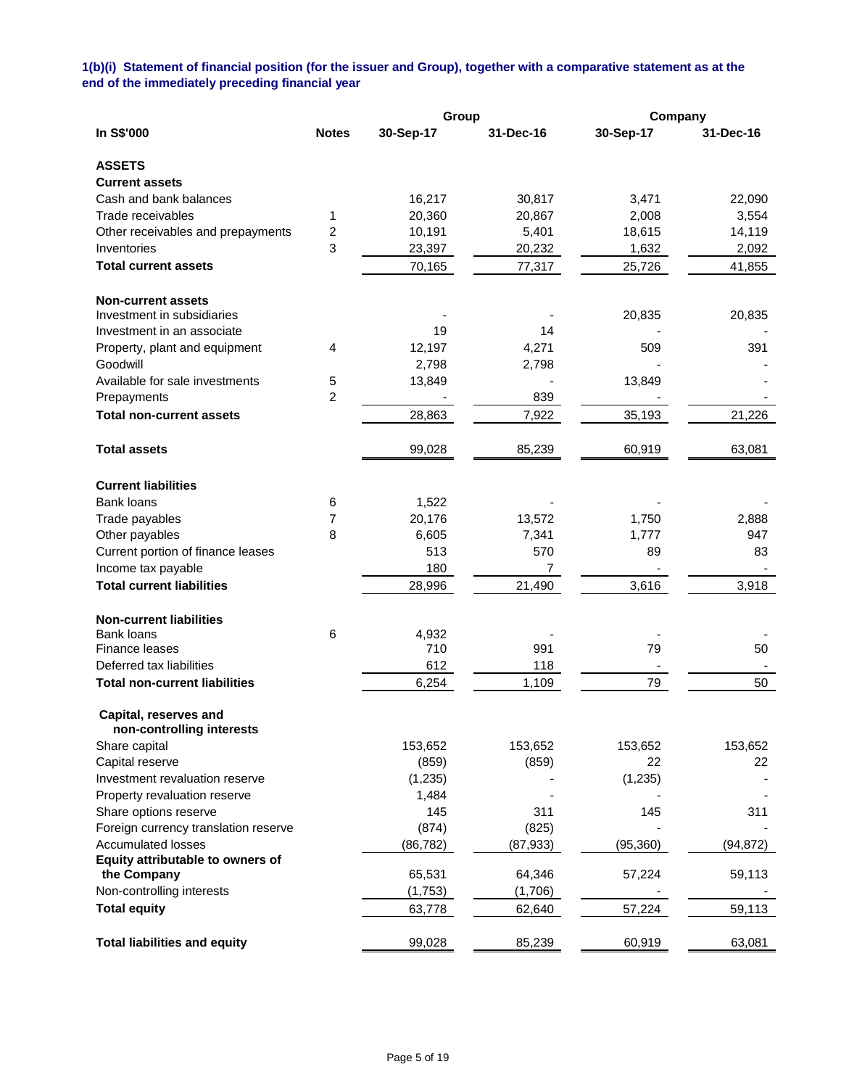# **1(b)(i) Statement of financial position (for the issuer and Group), together with a comparative statement as at the end of the immediately preceding financial year**

|                                                    | Group          |           |           | Company   |           |  |
|----------------------------------------------------|----------------|-----------|-----------|-----------|-----------|--|
| In S\$'000                                         | <b>Notes</b>   | 30-Sep-17 | 31-Dec-16 | 30-Sep-17 | 31-Dec-16 |  |
| <b>ASSETS</b>                                      |                |           |           |           |           |  |
| <b>Current assets</b>                              |                |           |           |           |           |  |
| Cash and bank balances                             |                | 16,217    | 30,817    | 3,471     | 22,090    |  |
| Trade receivables                                  | 1              | 20,360    | 20,867    | 2,008     | 3,554     |  |
| Other receivables and prepayments                  | 2              | 10,191    | 5,401     | 18,615    | 14,119    |  |
| Inventories                                        | 3              | 23,397    | 20,232    | 1,632     | 2,092     |  |
| <b>Total current assets</b>                        |                | 70,165    | 77,317    | 25,726    | 41,855    |  |
| <b>Non-current assets</b>                          |                |           |           |           |           |  |
| Investment in subsidiaries                         |                |           |           | 20,835    | 20,835    |  |
| Investment in an associate                         |                | 19        | 14        |           |           |  |
| Property, plant and equipment                      | 4              | 12,197    | 4,271     | 509       | 391       |  |
| Goodwill                                           |                | 2,798     | 2,798     |           |           |  |
| Available for sale investments                     | 5              | 13,849    |           | 13,849    |           |  |
| Prepayments                                        | $\overline{c}$ |           | 839       |           |           |  |
| <b>Total non-current assets</b>                    |                | 28,863    | 7,922     | 35,193    | 21,226    |  |
| <b>Total assets</b>                                |                | 99,028    | 85,239    | 60,919    | 63,081    |  |
| <b>Current liabilities</b>                         |                |           |           |           |           |  |
| Bank loans                                         | 6              | 1,522     |           |           |           |  |
| Trade payables                                     | 7              | 20,176    | 13,572    | 1,750     | 2,888     |  |
| Other payables                                     | 8              | 6,605     | 7,341     | 1,777     | 947       |  |
| Current portion of finance leases                  |                | 513       | 570       | 89        | 83        |  |
| Income tax payable                                 |                | 180       | 7         |           |           |  |
| <b>Total current liabilities</b>                   |                | 28,996    | 21,490    | 3,616     | 3,918     |  |
| <b>Non-current liabilities</b>                     |                |           |           |           |           |  |
| Bank loans                                         | 6              | 4,932     |           |           |           |  |
| <b>Finance leases</b>                              |                | 710       | 991       | 79        | 50        |  |
| Deferred tax liabilities                           |                | 612       | 118       |           |           |  |
| <b>Total non-current liabilities</b>               |                | 6,254     | 1,109     | 79        | 50        |  |
| Capital, reserves and<br>non-controlling interests |                |           |           |           |           |  |
| Share capital                                      |                | 153,652   | 153,652   | 153,652   | 153,652   |  |
| Capital reserve                                    |                | (859)     | (859)     | 22        | 22        |  |
| Investment revaluation reserve                     |                | (1,235)   |           | (1,235)   |           |  |
| Property revaluation reserve                       |                | 1,484     |           |           |           |  |
| Share options reserve                              |                | 145       | 311       | 145       | 311       |  |
| Foreign currency translation reserve               |                | (874)     | (825)     |           |           |  |
| <b>Accumulated losses</b>                          |                | (86, 782) | (87, 933) | (95, 360) | (94, 872) |  |
| Equity attributable to owners of                   |                |           |           |           |           |  |
| the Company                                        |                | 65,531    | 64,346    | 57,224    | 59,113    |  |
| Non-controlling interests                          |                | (1,753)   | (1,706)   |           |           |  |
| <b>Total equity</b>                                |                | 63,778    | 62,640    | 57,224    | 59,113    |  |
| <b>Total liabilities and equity</b>                |                | 99,028    | 85,239    | 60,919    | 63,081    |  |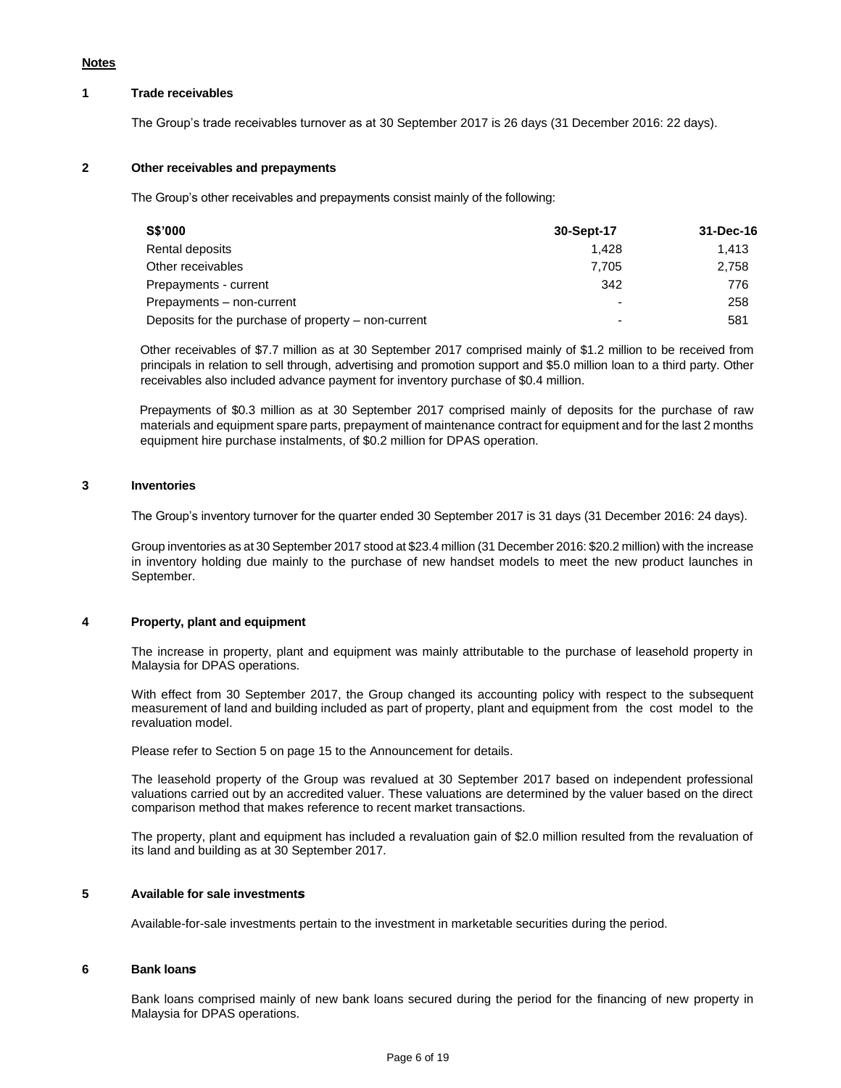# **1 Trade receivables**

The Group's trade receivables turnover as at 30 September 2017 is 26 days (31 December 2016: 22 days).

### **2 Other receivables and prepayments**

The Group's other receivables and prepayments consist mainly of the following:

| <b>S\$'000</b>                                      | 30-Sept-17 | 31-Dec-16 |
|-----------------------------------------------------|------------|-----------|
| Rental deposits                                     | 1.428      | 1.413     |
| Other receivables                                   | 7.705      | 2.758     |
| Prepayments - current                               | 342        | 776       |
| Prepayments - non-current                           |            | 258       |
| Deposits for the purchase of property – non-current |            | 581       |

Other receivables of \$7.7 million as at 30 September 2017 comprised mainly of \$1.2 million to be received from principals in relation to sell through, advertising and promotion support and \$5.0 million loan to a third party. Other receivables also included advance payment for inventory purchase of \$0.4 million.

Prepayments of \$0.3 million as at 30 September 2017 comprised mainly of deposits for the purchase of raw materials and equipment spare parts, prepayment of maintenance contract for equipment and for the last 2 months equipment hire purchase instalments, of \$0.2 million for DPAS operation.

### **3 Inventories**

The Group's inventory turnover for the quarter ended 30 September 2017 is 31 days (31 December 2016: 24 days).

Group inventories as at 30 September 2017 stood at \$23.4 million (31 December 2016: \$20.2 million) with the increase in inventory holding due mainly to the purchase of new handset models to meet the new product launches in September.

# **4 Property, plant and equipment**

The increase in property, plant and equipment was mainly attributable to the purchase of leasehold property in Malaysia for DPAS operations.

With effect from 30 September 2017, the Group changed its accounting policy with respect to the subsequent measurement of land and building included as part of property, plant and equipment from the cost model to the revaluation model.

Please refer to Section 5 on page 15 to the Announcement for details.

The leasehold property of the Group was revalued at 30 September 2017 based on independent professional valuations carried out by an accredited valuer. These valuations are determined by the valuer based on the direct comparison method that makes reference to recent market transactions.

The property, plant and equipment has included a revaluation gain of \$2.0 million resulted from the revaluation of its land and building as at 30 September 2017.

# **5 Available for sale investments**

Available-for-sale investments pertain to the investment in marketable securities during the period.

### **6 Bank loans**

Bank loans comprised mainly of new bank loans secured during the period for the financing of new property in Malaysia for DPAS operations.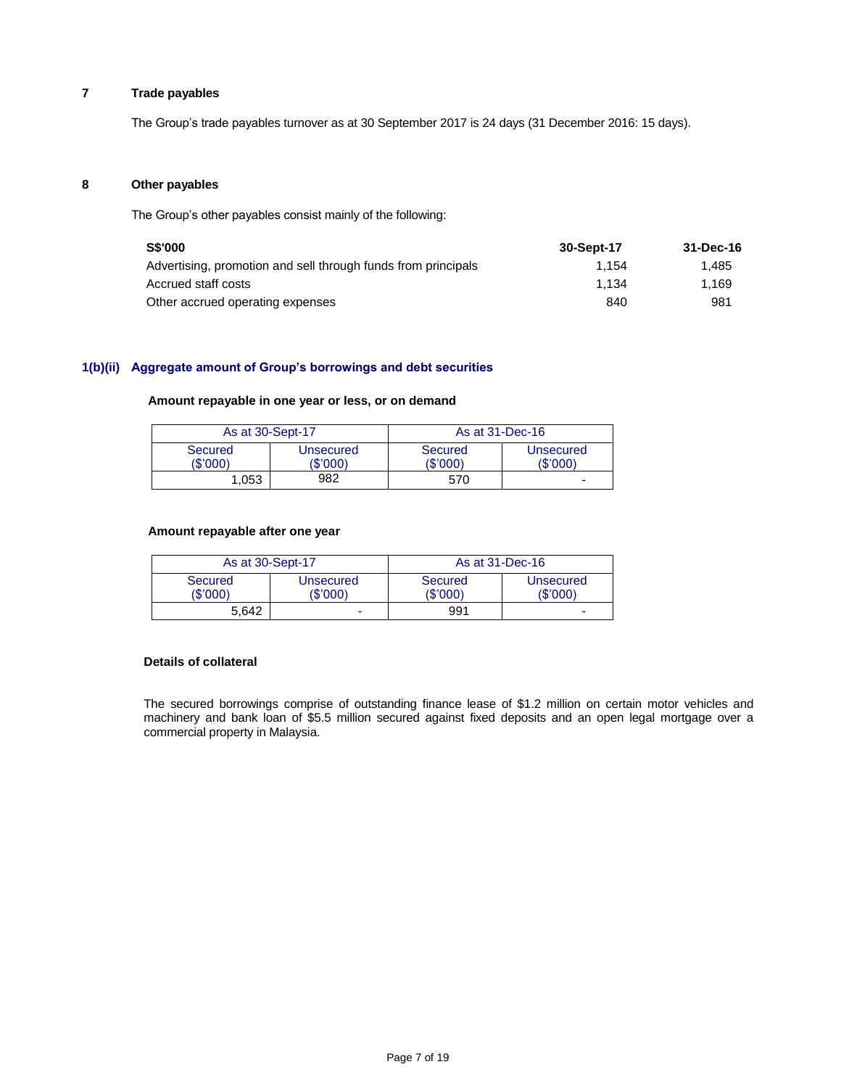# **7 Trade payables**

The Group's trade payables turnover as at 30 September 2017 is 24 days (31 December 2016: 15 days).

### **8 Other payables**

The Group's other payables consist mainly of the following:

| <b>S\$'000</b>                                                | 30-Sept-17 | 31-Dec-16 |
|---------------------------------------------------------------|------------|-----------|
| Advertising, promotion and sell through funds from principals | 1.154      | 1.485     |
| Accrued staff costs                                           | 1.134      | 1.169     |
| Other accrued operating expenses                              | 840        | 981       |

# **1(b)(ii) Aggregate amount of Group's borrowings and debt securities**

# **Amount repayable in one year or less, or on demand**

| As at 30-Sept-17    |                       | As at 31-Dec-16 |                       |  |
|---------------------|-----------------------|-----------------|-----------------------|--|
| Secured<br>(\$'000) | Unsecured<br>(\$'000) |                 | Unsecured<br>(\$'000' |  |
| 982<br>1.053        |                       | 570             | -                     |  |

### **Amount repayable after one year**

|       | As at 30-Sept-17<br>Secured<br>Unsecured<br>(\$'000)<br>(\$'000) |  | As at 31-Dec-16    |                              |  |
|-------|------------------------------------------------------------------|--|--------------------|------------------------------|--|
|       |                                                                  |  | Secured<br>(S'000) | <b>Unsecured</b><br>(\$'000) |  |
| 5.642 |                                                                  |  | 991                | $\overline{\phantom{0}}$     |  |

# **Details of collateral**

The secured borrowings comprise of outstanding finance lease of \$1.2 million on certain motor vehicles and machinery and bank loan of \$5.5 million secured against fixed deposits and an open legal mortgage over a commercial property in Malaysia.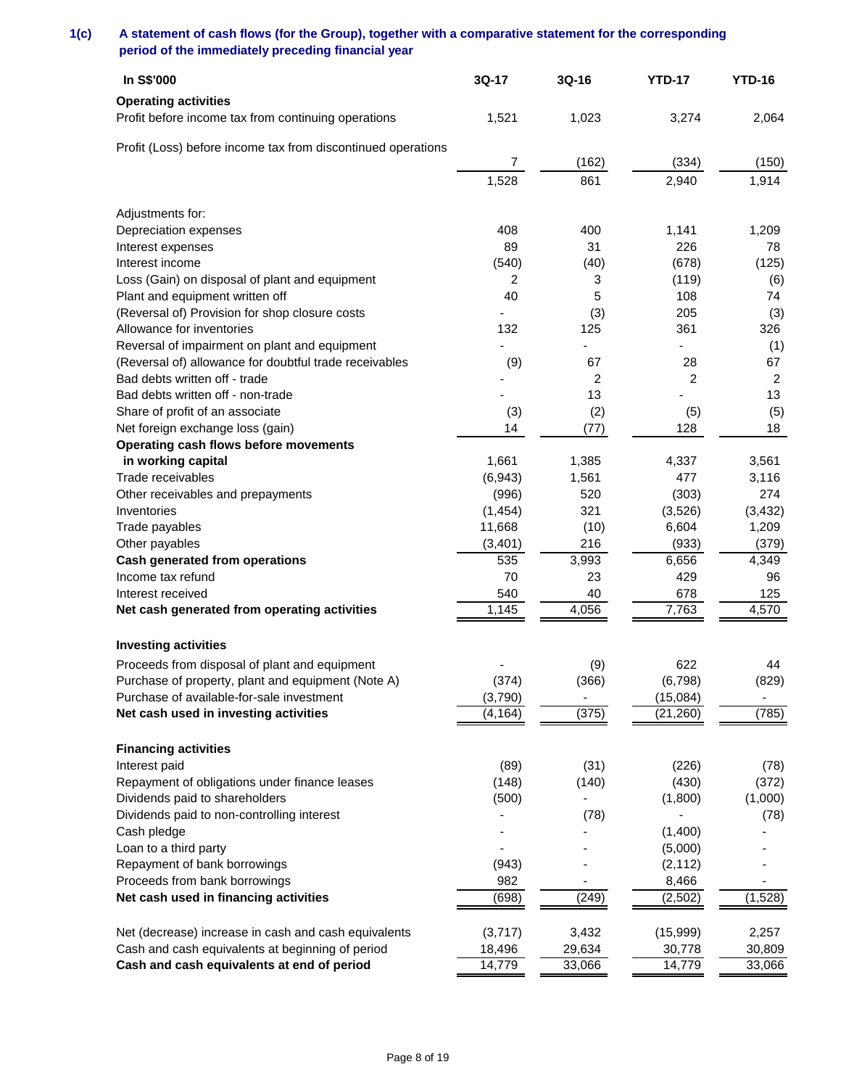# **1(c) A statement of cash flows (for the Group), together with a comparative statement for the corresponding period of the immediately preceding financial year**

| In S\$'000                                                   | 3Q-17    | 3Q-16                        | <b>YTD-17</b>  | <b>YTD-16</b>  |
|--------------------------------------------------------------|----------|------------------------------|----------------|----------------|
| <b>Operating activities</b>                                  |          |                              |                |                |
| Profit before income tax from continuing operations          | 1,521    | 1,023                        | 3,274          | 2,064          |
| Profit (Loss) before income tax from discontinued operations |          |                              |                |                |
|                                                              | 7        | (162)                        | (334)          | (150)          |
|                                                              | 1,528    | 861                          | 2,940          | 1,914          |
|                                                              |          |                              |                |                |
| Adjustments for:                                             |          |                              |                |                |
| Depreciation expenses                                        | 408      | 400                          | 1,141          | 1,209          |
| Interest expenses                                            | 89       | 31                           | 226            | 78             |
| Interest income                                              | (540)    | (40)                         | (678)          | (125)          |
| Loss (Gain) on disposal of plant and equipment               | 2        | 3                            | (119)          | (6)            |
| Plant and equipment written off                              | 40       | 5                            | 108            | 74             |
| (Reversal of) Provision for shop closure costs               |          | (3)                          | 205            | (3)            |
| Allowance for inventories                                    | 132      | 125                          | 361            | 326            |
| Reversal of impairment on plant and equipment                |          |                              |                | (1)            |
| (Reversal of) allowance for doubtful trade receivables       | (9)      | 67                           | 28             | 67             |
| Bad debts written off - trade                                |          | $\overline{2}$               | $\overline{2}$ | $\overline{c}$ |
| Bad debts written off - non-trade                            |          | 13                           |                | 13             |
| Share of profit of an associate                              | (3)      | (2)                          | (5)            | (5)            |
| Net foreign exchange loss (gain)                             | 14       | (77)                         | 128            | 18             |
| Operating cash flows before movements                        |          |                              |                |                |
| in working capital                                           | 1,661    | 1,385                        | 4,337          | 3,561          |
| Trade receivables                                            | (6,943)  | 1,561                        | 477            | 3,116          |
| Other receivables and prepayments                            | (996)    | 520                          | (303)          | 274            |
| Inventories                                                  | (1, 454) | 321                          | (3,526)        | (3, 432)       |
| Trade payables                                               | 11,668   | (10)                         | 6,604          | 1,209          |
| Other payables                                               | (3,401)  | 216                          | (933)          | (379)          |
| <b>Cash generated from operations</b>                        | 535      | 3,993                        | 6,656          | 4,349          |
| Income tax refund                                            | 70       | 23                           | 429            | 96             |
| Interest received                                            | 540      | 40                           | 678            | 125            |
| Net cash generated from operating activities                 | 1,145    | 4,056                        | 7,763          | 4,570          |
| <b>Investing activities</b>                                  |          |                              |                |                |
| Proceeds from disposal of plant and equipment                |          | (9)                          | 622            | 44             |
| Purchase of property, plant and equipment (Note A)           | (374)    | (366)                        | (6, 798)       | (829)          |
| Purchase of available-for-sale investment                    | (3,790)  | $\qquad \qquad \blacksquare$ | (15,084)       |                |
| Net cash used in investing activities                        | (4, 164) | (375)                        | (21, 260)      | (785)          |
|                                                              |          |                              |                |                |
| <b>Financing activities</b>                                  |          |                              |                |                |
| Interest paid                                                | (89)     | (31)                         | (226)          | (78)           |
| Repayment of obligations under finance leases                | (148)    | (140)                        | (430)          | (372)          |
| Dividends paid to shareholders                               | (500)    |                              | (1,800)        | (1,000)        |
| Dividends paid to non-controlling interest                   |          | (78)                         |                | (78)           |
| Cash pledge                                                  |          |                              | (1,400)        |                |
| Loan to a third party                                        |          |                              | (5,000)        |                |
| Repayment of bank borrowings                                 | (943)    |                              | (2, 112)       |                |
| Proceeds from bank borrowings                                | 982      |                              | 8,466          |                |
| Net cash used in financing activities                        | (698)    | (249)                        | (2, 502)       | (1,528)        |
|                                                              |          |                              |                |                |
| Net (decrease) increase in cash and cash equivalents         | (3,717)  | 3,432                        | (15,999)       | 2,257          |
| Cash and cash equivalents at beginning of period             | 18,496   | 29,634                       | 30,778         | 30,809         |
| Cash and cash equivalents at end of period                   | 14,779   | 33,066                       | 14,779         | 33,066         |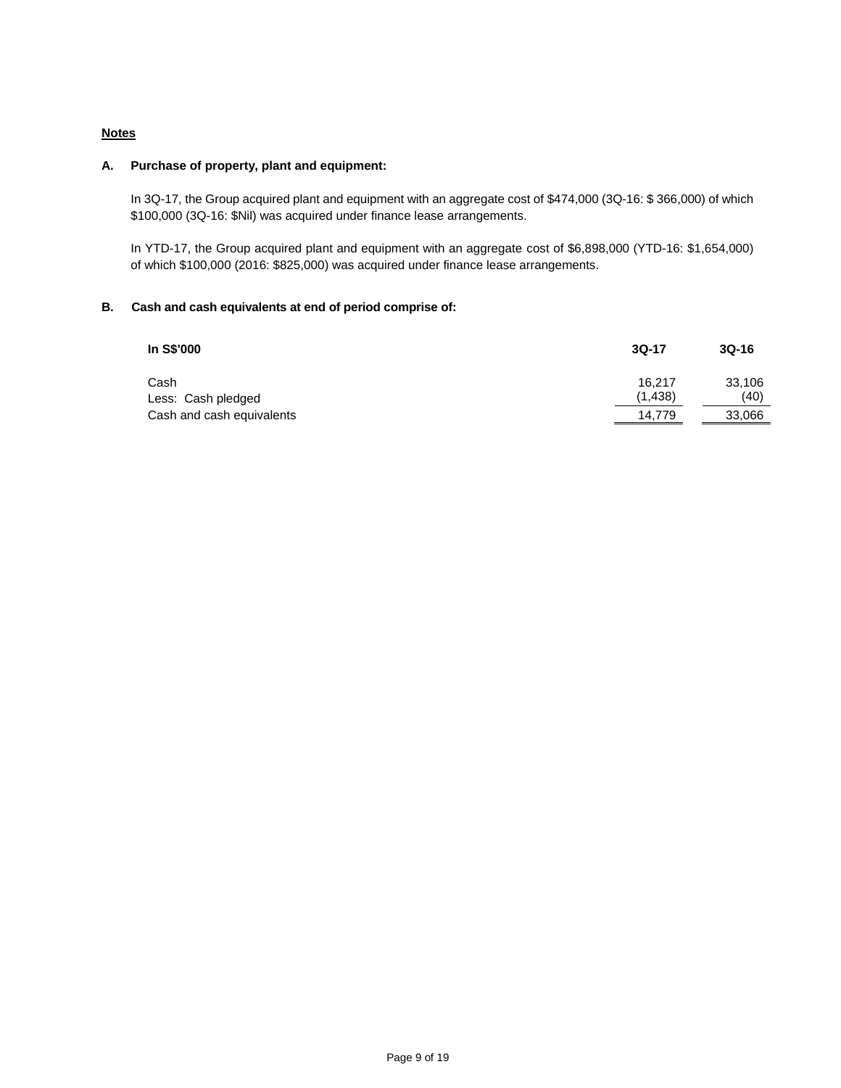# **Notes**

# **A. Purchase of property, plant and equipment:**

In 3Q-17, the Group acquired plant and equipment with an aggregate cost of \$474,000 (3Q-16: \$366,000) of which \$100,000 (3Q-16: \$Nil) was acquired under finance lease arrangements.

In YTD-17, the Group acquired plant and equipment with an aggregate cost of \$6,898,000 (YTD-16: \$1,654,000) of which \$100,000 (2016: \$825,000) was acquired under finance lease arrangements.

# **B. Cash and cash equivalents at end of period comprise of:**

| In S\$'000                 | $3Q-17$            | $3Q-16$        |
|----------------------------|--------------------|----------------|
| Cash<br>Less: Cash pledged | 16.217<br>(1, 438) | 33,106<br>(40) |
| Cash and cash equivalents  | 14.779             | 33,066         |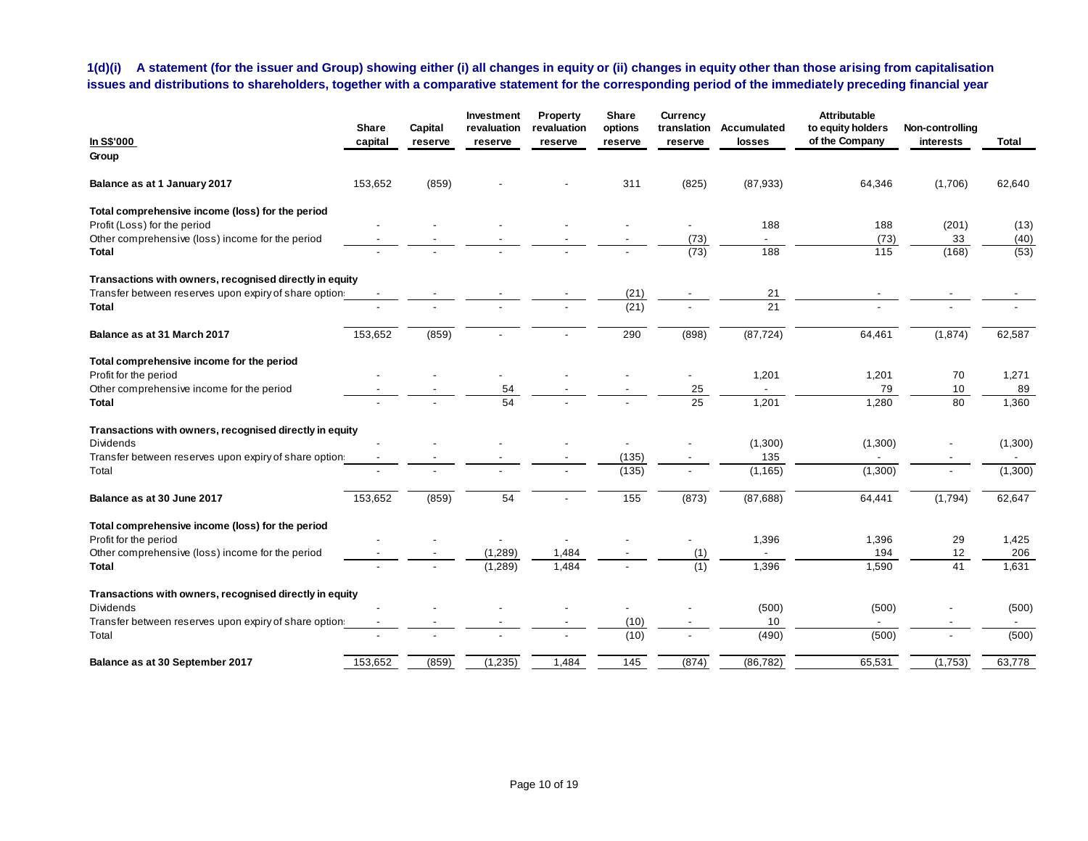# **1(d)(i) A statement (for the issuer and Group) showing either (i) all changes in equity or (ii) changes in equity other than those arising from capitalisation issues and distributions to shareholders, together with a comparative statement for the corresponding period of the immediately preceding financial year**

|                                                         | <b>Share</b> | Capital | Investment<br>revaluation | Property<br>revaluation | Share<br>options | <b>Currency</b><br>translation | Accumulated    | <b>Attributable</b><br>to equity holders | Non-controlling |         |
|---------------------------------------------------------|--------------|---------|---------------------------|-------------------------|------------------|--------------------------------|----------------|------------------------------------------|-----------------|---------|
| In S\$'000<br>Group                                     | capital      | reserve | reserve                   | reserve                 | reserve          | reserve                        | losses         | of the Company                           | interests       | Total   |
| Balance as at 1 January 2017                            | 153,652      | (859)   |                           |                         | 311              | (825)                          | (87, 933)      | 64,346                                   | (1,706)         | 62,640  |
| Total comprehensive income (loss) for the period        |              |         |                           |                         |                  |                                |                |                                          |                 |         |
| Profit (Loss) for the period                            |              |         |                           |                         |                  |                                | 188            | 188                                      | (201)           | (13)    |
| Other comprehensive (loss) income for the period        |              |         |                           |                         |                  | (73)                           |                | (73)                                     | 33              | (40)    |
| <b>Total</b>                                            |              |         |                           |                         |                  | (73)                           | 188            | 115                                      | (168)           | (53)    |
| Transactions with owners, recognised directly in equity |              |         |                           |                         |                  |                                |                |                                          |                 |         |
| Transfer between reserves upon expiry of share option   |              |         |                           |                         | (21)             |                                | 21             |                                          |                 |         |
| <b>Total</b>                                            |              |         |                           |                         | (21)             |                                | 21             |                                          |                 |         |
| Balance as at 31 March 2017                             | 153,652      | (859)   |                           |                         | 290              | (898)                          | (87, 724)      | 64,461                                   | (1,874)         | 62,587  |
| Total comprehensive income for the period               |              |         |                           |                         |                  |                                |                |                                          |                 |         |
| Profit for the period                                   |              |         |                           |                         |                  |                                | 1,201          | 1,201                                    | 70              | 1,271   |
| Other comprehensive income for the period               |              |         | 54                        |                         |                  | 25                             |                | 79                                       | 10              | 89      |
| <b>Total</b>                                            |              |         | 54                        |                         |                  | $\overline{25}$                | 1,201          | 1,280                                    | 80              | 1,360   |
| Transactions with owners, recognised directly in equity |              |         |                           |                         |                  |                                |                |                                          |                 |         |
| <b>Dividends</b>                                        |              |         |                           |                         |                  |                                | (1,300)        | (1,300)                                  |                 | (1,300) |
| Transfer between reserves upon expiry of share option   |              |         |                           |                         | (135)            |                                | 135            |                                          |                 |         |
| Total                                                   |              |         |                           |                         | (135)            |                                | (1, 165)       | (1,300)                                  |                 | (1,300) |
| Balance as at 30 June 2017                              | 153,652      | (859)   | 54                        |                         | 155              | (873)                          | (87,688)       | 64,441                                   | (1,794)         | 62,647  |
| Total comprehensive income (loss) for the period        |              |         |                           |                         |                  |                                |                |                                          |                 |         |
| Profit for the period                                   |              |         |                           |                         |                  |                                | 1,396          | 1,396                                    | 29              | 1,425   |
| Other comprehensive (loss) income for the period        |              |         | (1,289)                   | 1,484                   |                  | (1)                            | $\blacksquare$ | 194                                      | 12              | 206     |
| <b>Total</b>                                            |              |         | (1, 289)                  | 1,484                   |                  | (1)                            | 1,396          | 1,590                                    | 41              | 1,631   |
| Transactions with owners, recognised directly in equity |              |         |                           |                         |                  |                                |                |                                          |                 |         |
| <b>Dividends</b>                                        |              |         |                           |                         |                  |                                | (500)          | (500)                                    |                 | (500)   |
| Transfer between reserves upon expiry of share option   |              |         |                           |                         | (10)             |                                | 10             | $\sim$                                   |                 | $\sim$  |
| Total                                                   |              |         |                           |                         | (10)             |                                | (490)          | (500)                                    |                 | (500)   |
| Balance as at 30 September 2017                         | 153,652      | (859)   | (1,235)                   | 1,484                   | 145              | (874)                          | (86, 782)      | 65,531                                   | (1,753)         | 63,778  |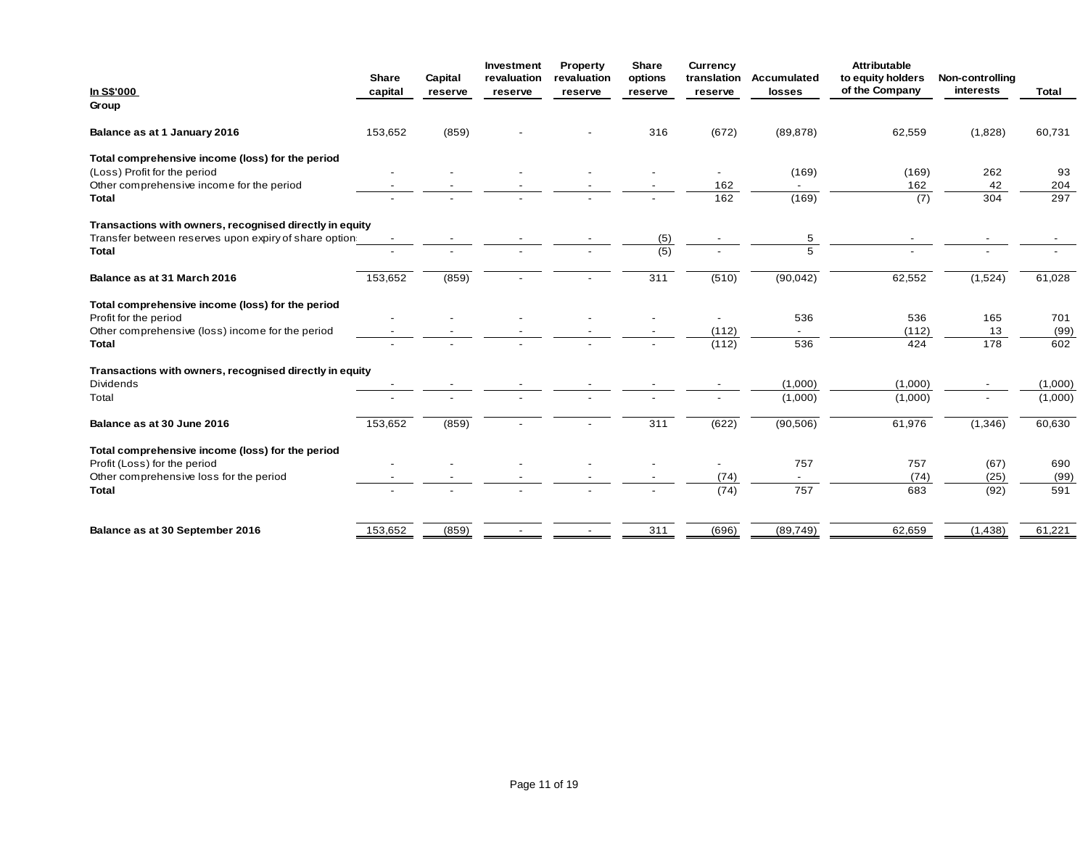|                                                         | Share   | Capital | Investment<br>revaluation | Property<br>revaluation | Share<br>options | <b>Currency</b><br>translation | Accumulated | <b>Attributable</b><br>to equity holders | Non-controlling |         |
|---------------------------------------------------------|---------|---------|---------------------------|-------------------------|------------------|--------------------------------|-------------|------------------------------------------|-----------------|---------|
| In S\$'000                                              | capital | reserve | reserve                   | reserve                 | reserve          | reserve                        | losses      | of the Company                           | interests       | Total   |
| Group                                                   |         |         |                           |                         |                  |                                |             |                                          |                 |         |
| Balance as at 1 January 2016                            | 153,652 | (859)   |                           |                         | 316              | (672)                          | (89, 878)   | 62,559                                   | (1,828)         | 60,731  |
| Total comprehensive income (loss) for the period        |         |         |                           |                         |                  |                                |             |                                          |                 |         |
| (Loss) Profit for the period                            |         |         |                           |                         |                  |                                | (169)       | (169)                                    | 262             | 93      |
| Other comprehensive income for the period               |         |         |                           |                         |                  | 162                            |             | 162                                      | 42              | 204     |
| <b>Total</b>                                            |         |         |                           |                         |                  | 162                            | (169)       | (7)                                      | 304             | 297     |
| Transactions with owners, recognised directly in equity |         |         |                           |                         |                  |                                |             |                                          |                 |         |
| Transfer between reserves upon expiry of share option:  |         |         |                           |                         | (5)              |                                | 5           |                                          |                 |         |
| <b>Total</b>                                            |         |         |                           |                         | (5)              |                                | 5           |                                          |                 |         |
| Balance as at 31 March 2016                             | 153,652 | (859)   |                           |                         | 311              | (510)                          | (90, 042)   | 62,552                                   | (1,524)         | 61,028  |
| Total comprehensive income (loss) for the period        |         |         |                           |                         |                  |                                |             |                                          |                 |         |
| Profit for the period                                   |         |         |                           |                         |                  |                                | 536         | 536                                      | 165             | 701     |
| Other comprehensive (loss) income for the period        |         |         |                           |                         |                  | (112)                          |             | (112)                                    | 13              | (99)    |
| <b>Total</b>                                            |         |         |                           |                         |                  | (112)                          | 536         | 424                                      | 178             | 602     |
| Transactions with owners, recognised directly in equity |         |         |                           |                         |                  |                                |             |                                          |                 |         |
| <b>Dividends</b>                                        |         |         |                           |                         |                  |                                | (1,000)     | (1,000)                                  |                 | (1,000) |
| Total                                                   |         |         |                           |                         |                  |                                | (1,000)     | (1,000)                                  |                 | (1,000) |
| Balance as at 30 June 2016                              | 153,652 | (859)   |                           |                         | 311              | (622)                          | (90, 506)   | 61,976                                   | (1,346)         | 60,630  |
| Total comprehensive income (loss) for the period        |         |         |                           |                         |                  |                                |             |                                          |                 |         |
| Profit (Loss) for the period                            |         |         |                           |                         |                  |                                | 757         | 757                                      | (67)            | 690     |
| Other comprehensive loss for the period                 |         |         |                           |                         |                  | (74)                           |             | (74)                                     | (25)            | (99)    |
| <b>Total</b>                                            |         |         |                           |                         |                  | (74)                           | 757         | 683                                      | (92)            | 591     |
| Balance as at 30 September 2016                         | 153,652 | (859)   |                           |                         | 311              | (696)                          | (89, 749)   | 62,659                                   |                 | 61,221  |
|                                                         |         |         |                           |                         |                  |                                |             |                                          | (1,438)         |         |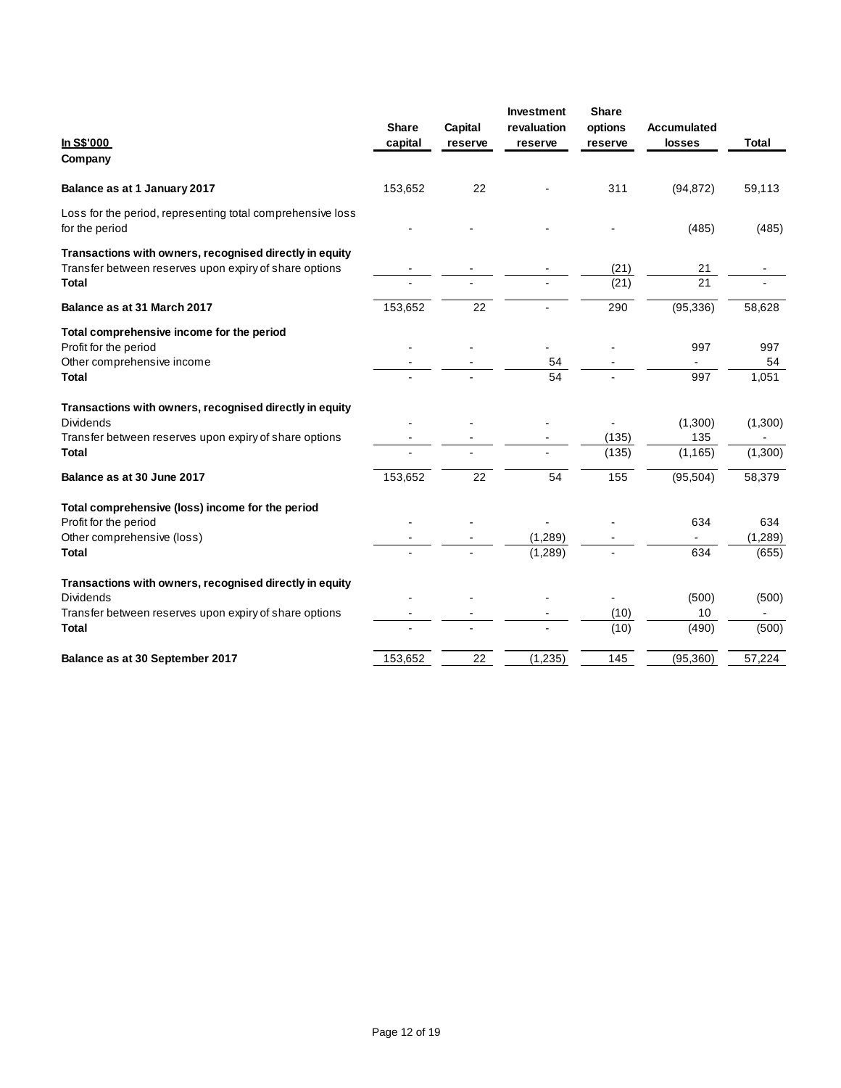| <b>In S\$'000</b><br>Company                                                                                                                          | <b>Share</b><br>capital | Capital<br>reserve | <b>Investment</b><br>revaluation<br>reserve | <b>Share</b><br>options<br>reserve | <b>Accumulated</b><br>losses | <b>Total</b>            |
|-------------------------------------------------------------------------------------------------------------------------------------------------------|-------------------------|--------------------|---------------------------------------------|------------------------------------|------------------------------|-------------------------|
| Balance as at 1 January 2017                                                                                                                          | 153,652                 | 22                 |                                             | 311                                | (94, 872)                    | 59,113                  |
| Loss for the period, representing total comprehensive loss<br>for the period                                                                          |                         |                    |                                             |                                    | (485)                        | (485)                   |
| Transactions with owners, recognised directly in equity<br>Transfer between reserves upon expiry of share options<br><b>Total</b>                     |                         |                    |                                             | (21)<br>(21)                       | 21<br>$\overline{21}$        |                         |
| Balance as at 31 March 2017                                                                                                                           | 153,652                 | 22                 |                                             | 290                                | (95, 336)                    | 58,628                  |
| Total comprehensive income for the period<br>Profit for the period<br>Other comprehensive income<br><b>Total</b>                                      |                         |                    | 54<br>54                                    |                                    | 997<br>997                   | 997<br>54<br>1,051      |
| Transactions with owners, recognised directly in equity<br><b>Dividends</b><br>Transfer between reserves upon expiry of share options<br>Total        |                         |                    |                                             | (135)<br>(135)                     | (1,300)<br>135<br>(1, 165)   | (1,300)<br>(1,300)      |
| Balance as at 30 June 2017                                                                                                                            | 153,652                 | 22                 | 54                                          | 155                                | (95, 504)                    | 58,379                  |
| Total comprehensive (loss) income for the period<br>Profit for the period<br>Other comprehensive (loss)<br>Total                                      |                         |                    | (1,289)<br>(1,289)                          |                                    | 634<br>634                   | 634<br>(1,289)<br>(655) |
| Transactions with owners, recognised directly in equity<br><b>Dividends</b><br>Transfer between reserves upon expiry of share options<br><b>Total</b> |                         |                    |                                             | (10)<br>(10)                       | (500)<br>10<br>(490)         | (500)<br>(500)          |
| Balance as at 30 September 2017                                                                                                                       | 153,652                 | 22                 | (1, 235)                                    | 145                                | (95, 360)                    | 57,224                  |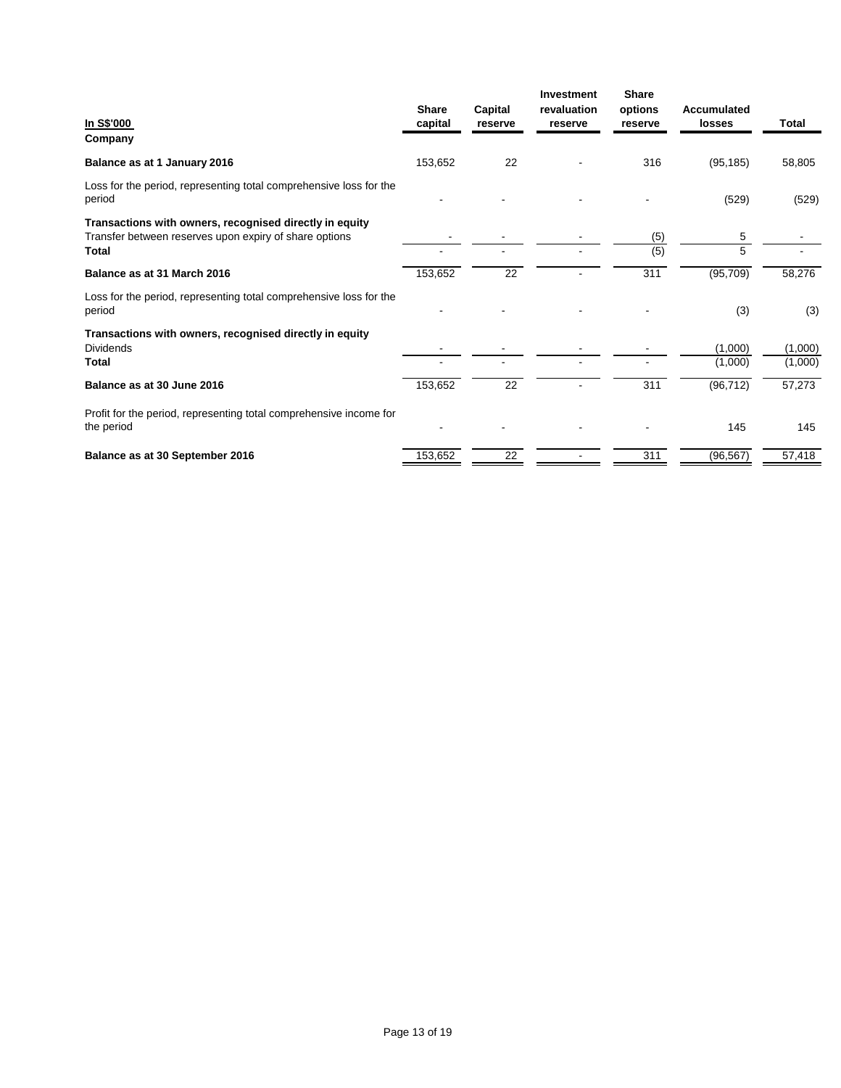| In S\$'000<br>Company                                                                                                      | <b>Share</b><br>capital | Capital<br>reserve | <b>Investment</b><br>revaluation<br>reserve | <b>Share</b><br>options<br>reserve | Accumulated<br>losses | Total              |
|----------------------------------------------------------------------------------------------------------------------------|-------------------------|--------------------|---------------------------------------------|------------------------------------|-----------------------|--------------------|
| Balance as at 1 January 2016                                                                                               | 153,652                 | 22                 |                                             | 316                                | (95, 185)             | 58,805             |
| Loss for the period, representing total comprehensive loss for the<br>period                                               |                         |                    |                                             |                                    | (529)                 | (529)              |
| Transactions with owners, recognised directly in equity<br>Transfer between reserves upon expiry of share options<br>Total |                         |                    |                                             | (5)<br>(5)                         | 5<br>5                |                    |
| Balance as at 31 March 2016                                                                                                | 153,652                 | 22                 |                                             | 311                                | (95, 709)             | 58,276             |
| Loss for the period, representing total comprehensive loss for the<br>period                                               |                         |                    |                                             |                                    | (3)                   | (3)                |
| Transactions with owners, recognised directly in equity<br><b>Dividends</b><br>Total                                       |                         |                    |                                             |                                    | (1,000)<br>(1,000)    | (1,000)<br>(1,000) |
| Balance as at 30 June 2016                                                                                                 | 153,652                 | 22                 |                                             | 311                                | (96, 712)             | 57,273             |
| Profit for the period, representing total comprehensive income for<br>the period                                           |                         |                    |                                             |                                    | 145                   | 145                |
| Balance as at 30 September 2016                                                                                            | 153,652                 | 22                 |                                             | 311                                | (96, 567)             | 57,418             |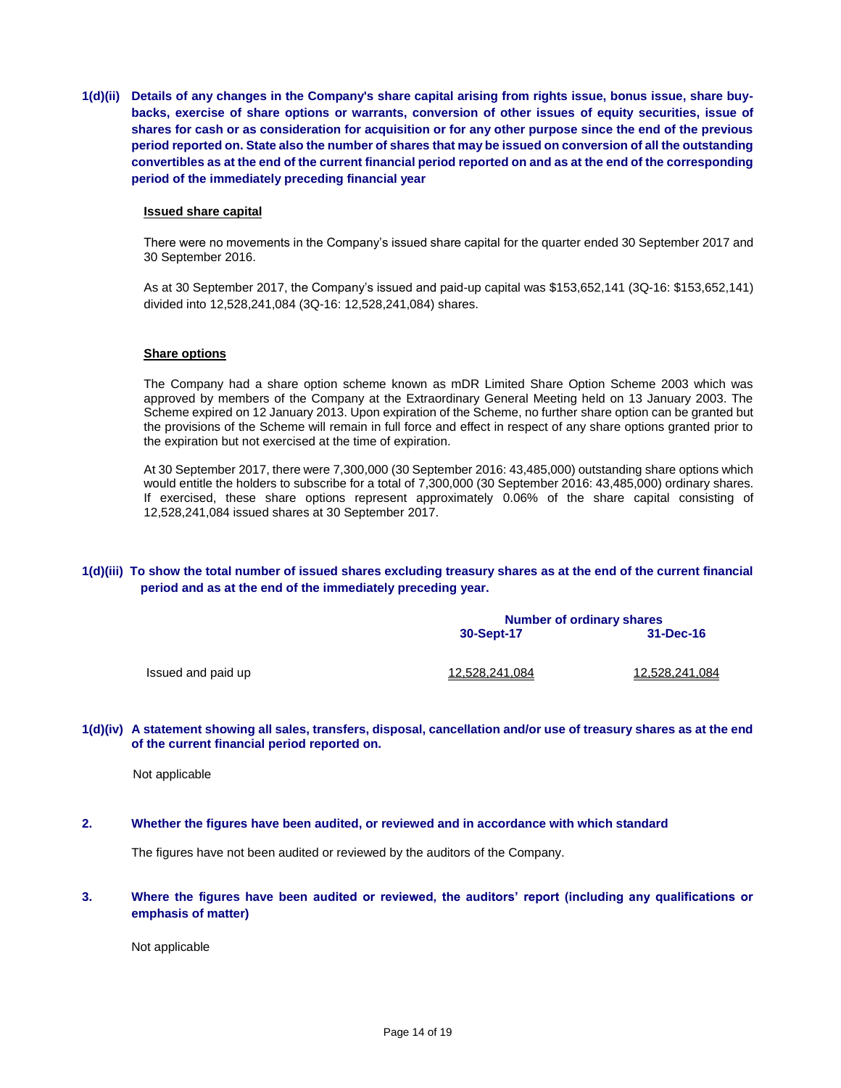**1(d)(ii) Details of any changes in the Company's share capital arising from rights issue, bonus issue, share buybacks, exercise of share options or warrants, conversion of other issues of equity securities, issue of shares for cash or as consideration for acquisition or for any other purpose since the end of the previous period reported on. State also the number of shares that may be issued on conversion of all the outstanding convertibles as at the end of the current financial period reported on and as at the end of the corresponding period of the immediately preceding financial year**

### **Issued share capital**

There were no movements in the Company's issued share capital for the quarter ended 30 September 2017 and 30 September 2016.

As at 30 September 2017, the Company's issued and paid-up capital was \$153,652,141 (3Q-16: \$153,652,141) divided into 12,528,241,084 (3Q-16: 12,528,241,084) shares.

### **Share options**

The Company had a share option scheme known as mDR Limited Share Option Scheme 2003 which was approved by members of the Company at the Extraordinary General Meeting held on 13 January 2003. The Scheme expired on 12 January 2013. Upon expiration of the Scheme, no further share option can be granted but the provisions of the Scheme will remain in full force and effect in respect of any share options granted prior to the expiration but not exercised at the time of expiration.

At 30 September 2017, there were 7,300,000 (30 September 2016: 43,485,000) outstanding share options which would entitle the holders to subscribe for a total of 7,300,000 (30 September 2016: 43,485,000) ordinary shares. If exercised, these share options represent approximately 0.06% of the share capital consisting of 12,528,241,084 issued shares at 30 September 2017.

# **1(d)(iii) To show the total number of issued shares excluding treasury shares as at the end of the current financial period and as at the end of the immediately preceding year.**

|                    | <b>Number of ordinary shares</b> |                       |  |  |
|--------------------|----------------------------------|-----------------------|--|--|
|                    | 30-Sept-17                       | 31-Dec-16             |  |  |
| Issued and paid up | <u>12,528,241,084</u>            | <u>12,528,241,084</u> |  |  |

### **1(d)(iv) A statement showing all sales, transfers, disposal, cancellation and/or use of treasury shares as at the end of the current financial period reported on.**

Not applicable

**2. Whether the figures have been audited, or reviewed and in accordance with which standard** 

The figures have not been audited or reviewed by the auditors of the Company.

**3. Where the figures have been audited or reviewed, the auditors' report (including any qualifications or emphasis of matter)**

Not applicable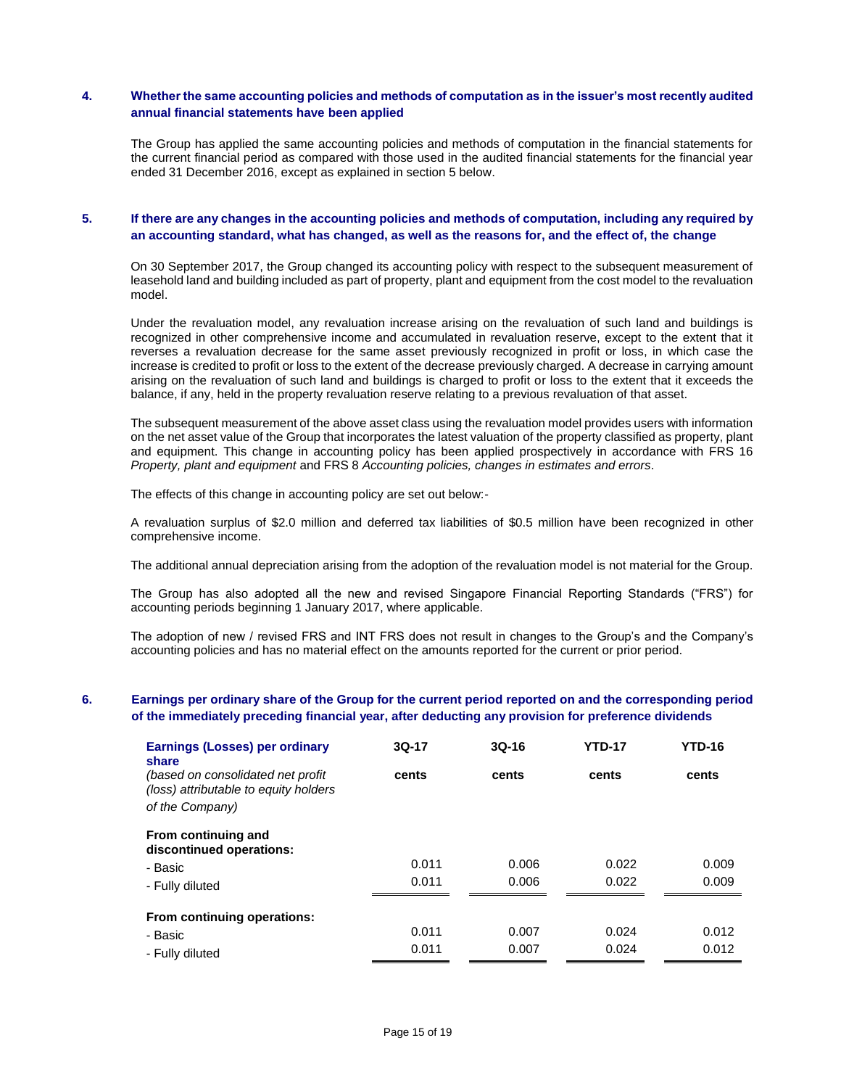## **4. Whether the same accounting policies and methods of computation as in the issuer's most recently audited annual financial statements have been applied**

The Group has applied the same accounting policies and methods of computation in the financial statements for the current financial period as compared with those used in the audited financial statements for the financial year ended 31 December 2016, except as explained in section 5 below.

# **5. If there are any changes in the accounting policies and methods of computation, including any required by an accounting standard, what has changed, as well as the reasons for, and the effect of, the change**

On 30 September 2017, the Group changed its accounting policy with respect to the subsequent measurement of leasehold land and building included as part of property, plant and equipment from the cost model to the revaluation model.

Under the revaluation model, any revaluation increase arising on the revaluation of such land and buildings is recognized in other comprehensive income and accumulated in revaluation reserve, except to the extent that it reverses a revaluation decrease for the same asset previously recognized in profit or loss, in which case the increase is credited to profit or loss to the extent of the decrease previously charged. A decrease in carrying amount arising on the revaluation of such land and buildings is charged to profit or loss to the extent that it exceeds the balance, if any, held in the property revaluation reserve relating to a previous revaluation of that asset.

The subsequent measurement of the above asset class using the revaluation model provides users with information on the net asset value of the Group that incorporates the latest valuation of the property classified as property, plant and equipment. This change in accounting policy has been applied prospectively in accordance with FRS 16 *Property, plant and equipment* and FRS 8 *Accounting policies, changes in estimates and errors*.

The effects of this change in accounting policy are set out below:-

A revaluation surplus of \$2.0 million and deferred tax liabilities of \$0.5 million have been recognized in other comprehensive income.

The additional annual depreciation arising from the adoption of the revaluation model is not material for the Group.

The Group has also adopted all the new and revised Singapore Financial Reporting Standards ("FRS") for accounting periods beginning 1 January 2017, where applicable.

The adoption of new / revised FRS and INT FRS does not result in changes to the Group's and the Company's accounting policies and has no material effect on the amounts reported for the current or prior period.

# **6. Earnings per ordinary share of the Group for the current period reported on and the corresponding period of the immediately preceding financial year, after deducting any provision for preference dividends**

| <b>Earnings (Losses) per ordinary</b><br>share                              | $3Q-17$ | $3Q-16$ | <b>YTD-17</b> | YTD-16 |
|-----------------------------------------------------------------------------|---------|---------|---------------|--------|
| (based on consolidated net profit)<br>(loss) attributable to equity holders | cents   | cents   | cents         | cents  |
| of the Company)                                                             |         |         |               |        |
| From continuing and<br>discontinued operations:                             |         |         |               |        |
| - Basic                                                                     | 0.011   | 0.006   | 0.022         | 0.009  |
| - Fully diluted                                                             | 0.011   | 0.006   | 0.022         | 0.009  |
| From continuing operations:                                                 |         |         |               |        |
| - Basic                                                                     | 0.011   | 0.007   | 0.024         | 0.012  |
| - Fully diluted                                                             | 0.011   | 0.007   | 0.024         | 0.012  |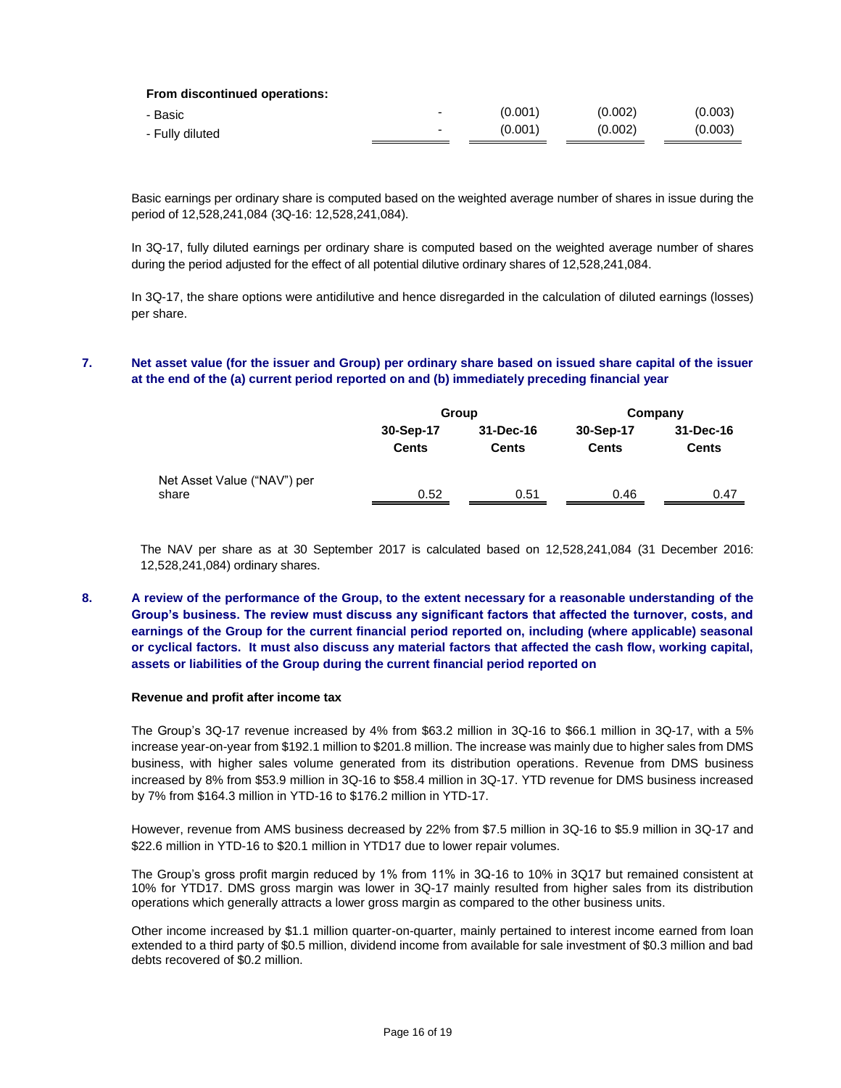| From discontinued operations: |  |
|-------------------------------|--|
|-------------------------------|--|

| - Basic         | -                        | (0.001) | (0.002) | (0.003) |
|-----------------|--------------------------|---------|---------|---------|
| - Fully diluted | $\overline{\phantom{0}}$ | (0.001) | (0.002) | (0.003) |

Basic earnings per ordinary share is computed based on the weighted average number of shares in issue during the period of 12,528,241,084 (3Q-16: 12,528,241,084).

In 3Q-17, fully diluted earnings per ordinary share is computed based on the weighted average number of shares during the period adjusted for the effect of all potential dilutive ordinary shares of 12,528,241,084.

In 3Q-17, the share options were antidilutive and hence disregarded in the calculation of diluted earnings (losses) per share.

# **7. Net asset value (for the issuer and Group) per ordinary share based on issued share capital of the issuer at the end of the (a) current period reported on and (b) immediately preceding financial year**

|                                      |                           | Group                     | Company                   |                           |  |
|--------------------------------------|---------------------------|---------------------------|---------------------------|---------------------------|--|
|                                      | 30-Sep-17<br><b>Cents</b> | 31-Dec-16<br><b>Cents</b> | 30-Sep-17<br><b>Cents</b> | 31-Dec-16<br><b>Cents</b> |  |
| Net Asset Value ("NAV") per<br>share | 0.52                      | 0.51                      | 0.46                      | 0.47                      |  |

The NAV per share as at 30 September 2017 is calculated based on 12,528,241,084 (31 December 2016: 12,528,241,084) ordinary shares.

# **8. A review of the performance of the Group, to the extent necessary for a reasonable understanding of the Group's business. The review must discuss any significant factors that affected the turnover, costs, and earnings of the Group for the current financial period reported on, including (where applicable) seasonal or cyclical factors. It must also discuss any material factors that affected the cash flow, working capital, assets or liabilities of the Group during the current financial period reported on**

### **Revenue and profit after income tax**

The Group's 3Q-17 revenue increased by 4% from \$63.2 million in 3Q-16 to \$66.1 million in 3Q-17, with a 5% increase year-on-year from \$192.1 million to \$201.8 million. The increase was mainly due to higher sales from DMS business, with higher sales volume generated from its distribution operations. Revenue from DMS business increased by 8% from \$53.9 million in 3Q-16 to \$58.4 million in 3Q-17. YTD revenue for DMS business increased by 7% from \$164.3 million in YTD-16 to \$176.2 million in YTD-17.

However, revenue from AMS business decreased by 22% from \$7.5 million in 3Q-16 to \$5.9 million in 3Q-17 and \$22.6 million in YTD-16 to \$20.1 million in YTD17 due to lower repair volumes.

The Group's gross profit margin reduced by 1% from 11% in 3Q-16 to 10% in 3Q17 but remained consistent at 10% for YTD17. DMS gross margin was lower in 3Q-17 mainly resulted from higher sales from its distribution operations which generally attracts a lower gross margin as compared to the other business units.

Other income increased by \$1.1 million quarter-on-quarter, mainly pertained to interest income earned from loan extended to a third party of \$0.5 million, dividend income from available for sale investment of \$0.3 million and bad debts recovered of \$0.2 million.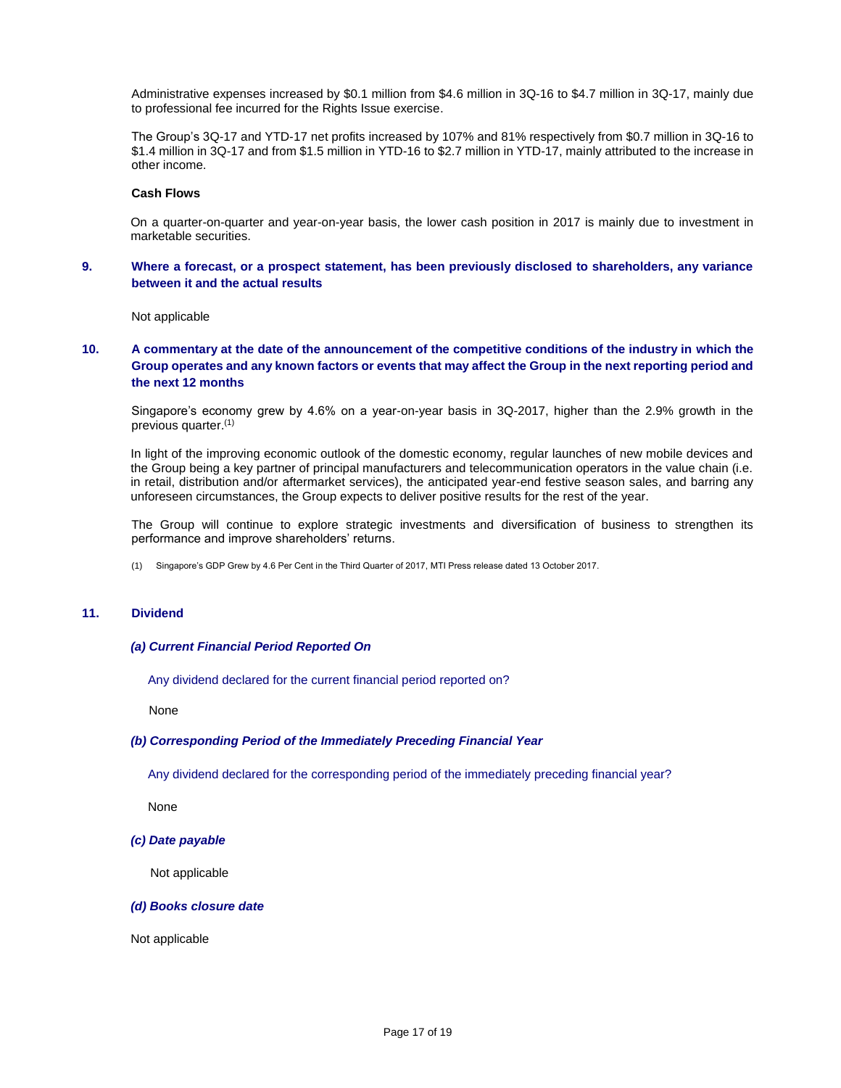Administrative expenses increased by \$0.1 million from \$4.6 million in 3Q-16 to \$4.7 million in 3Q-17, mainly due to professional fee incurred for the Rights Issue exercise.

The Group's 3Q-17 and YTD-17 net profits increased by 107% and 81% respectively from \$0.7 million in 3Q-16 to \$1.4 million in 3Q-17 and from \$1.5 million in YTD-16 to \$2.7 million in YTD-17, mainly attributed to the increase in other income.

#### **Cash Flows**

On a quarter-on-quarter and year-on-year basis, the lower cash position in 2017 is mainly due to investment in marketable securities.

# **9. Where a forecast, or a prospect statement, has been previously disclosed to shareholders, any variance between it and the actual results**

Not applicable

# **10. A commentary at the date of the announcement of the competitive conditions of the industry in which the Group operates and any known factors or events that may affect the Group in the next reporting period and the next 12 months**

Singapore's economy grew by 4.6% on a year-on-year basis in 3Q-2017, higher than the 2.9% growth in the previous quarter.(1)

In light of the improving economic outlook of the domestic economy, regular launches of new mobile devices and the Group being a key partner of principal manufacturers and telecommunication operators in the value chain (i.e. in retail, distribution and/or aftermarket services), the anticipated year-end festive season sales, and barring any unforeseen circumstances, the Group expects to deliver positive results for the rest of the year.

The Group will continue to explore strategic investments and diversification of business to strengthen its performance and improve shareholders' returns.

(1) Singapore's GDP Grew by 4.6 Per Cent in the Third Quarter of 2017, MTI Press release dated 13 October 2017.

# **11. Dividend**

### *(a) Current Financial Period Reported On*

Any dividend declared for the current financial period reported on?

None

### *(b) Corresponding Period of the Immediately Preceding Financial Year*

Any dividend declared for the corresponding period of the immediately preceding financial year?

None

*(c) Date payable*

Not applicable

#### *(d) Books closure date*

Not applicable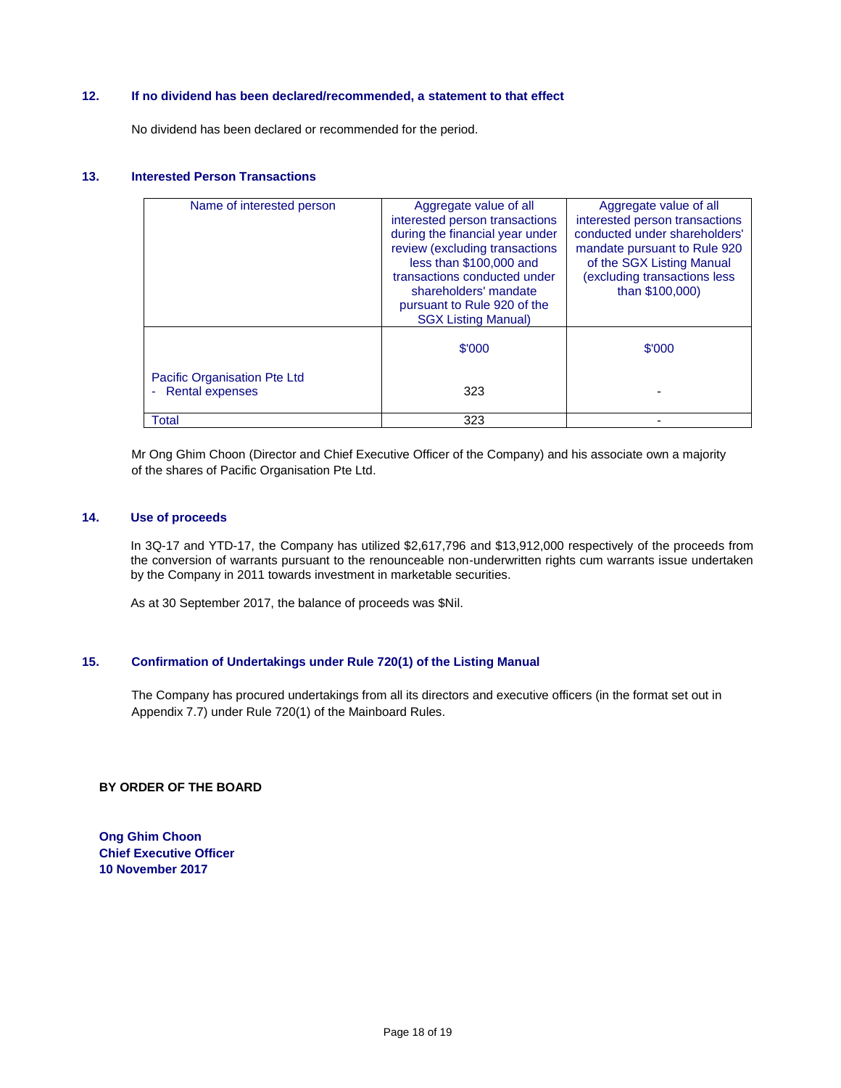# **12. If no dividend has been declared/recommended, a statement to that effect**

No dividend has been declared or recommended for the period.

# **13. Interested Person Transactions**

| Name of interested person                         | Aggregate value of all<br>interested person transactions<br>during the financial year under<br>review (excluding transactions<br>less than \$100,000 and<br>transactions conducted under<br>shareholders' mandate<br>pursuant to Rule 920 of the<br><b>SGX Listing Manual)</b> | Aggregate value of all<br>interested person transactions<br>conducted under shareholders'<br>mandate pursuant to Rule 920<br>of the SGX Listing Manual<br>(excluding transactions less<br>than \$100,000) |
|---------------------------------------------------|--------------------------------------------------------------------------------------------------------------------------------------------------------------------------------------------------------------------------------------------------------------------------------|-----------------------------------------------------------------------------------------------------------------------------------------------------------------------------------------------------------|
|                                                   | \$'000                                                                                                                                                                                                                                                                         | \$'000                                                                                                                                                                                                    |
| Pacific Organisation Pte Ltd<br>- Rental expenses | 323                                                                                                                                                                                                                                                                            |                                                                                                                                                                                                           |
| Total                                             | 323                                                                                                                                                                                                                                                                            |                                                                                                                                                                                                           |

Mr Ong Ghim Choon (Director and Chief Executive Officer of the Company) and his associate own a majority of the shares of Pacific Organisation Pte Ltd.

### **14. Use of proceeds**

In 3Q-17 and YTD-17, the Company has utilized \$2,617,796 and \$13,912,000 respectively of the proceeds from the conversion of warrants pursuant to the renounceable non-underwritten rights cum warrants issue undertaken by the Company in 2011 towards investment in marketable securities.

As at 30 September 2017, the balance of proceeds was \$Nil.

# **15. Confirmation of Undertakings under Rule 720(1) of the Listing Manual**

The Company has procured undertakings from all its directors and executive officers (in the format set out in Appendix 7.7) under Rule 720(1) of the Mainboard Rules.

### **BY ORDER OF THE BOARD**

**Ong Ghim Choon Chief Executive Officer 10 November 2017**